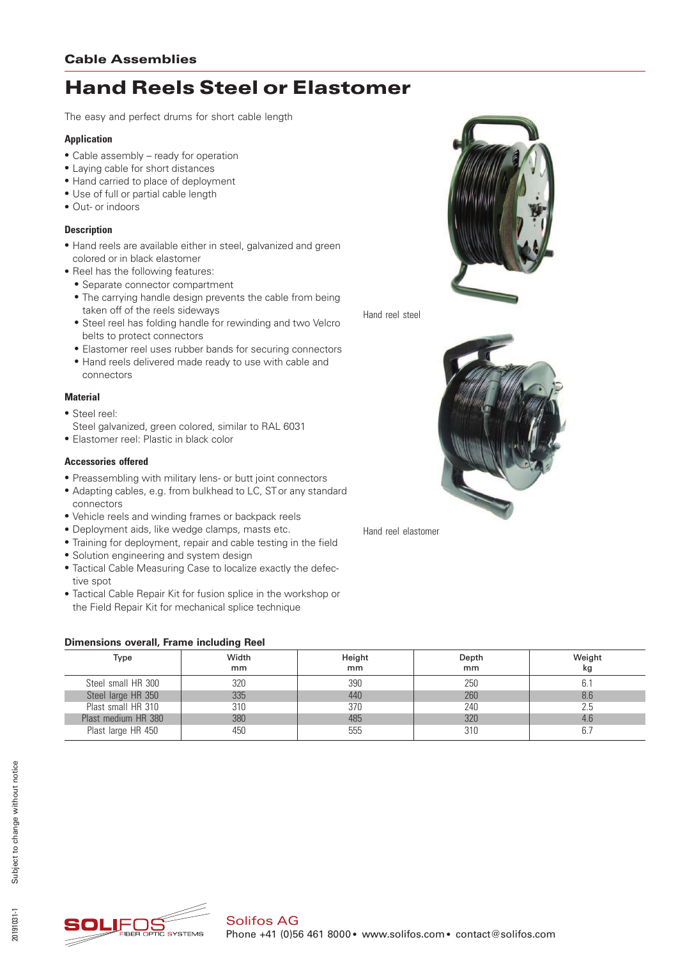# Hand Reels Steel or Elastomer

The easy and perfect drums for short cable length

#### **Application**

- Cable assembly ready for operation
- Laying cable for short distances
- Hand carried to place of deployment
- Use of full or partial cable length
- Out- or indoors

### **Description**

- \* Hand reels are available either in steel, galvanized and green colored or in black elastomer
- Reel has the following features:
	- Separate connector compartment
	- The carrying handle design prevents the cable from being taken off of the reels sideways
	- Steel reel has folding handle for rewinding and two Velcro belts to protect connectors
	- \* Elastomer reel uses rubber bands for securing connectors
	- \* Hand reels delivered made ready to use with cable and connectors

#### **Material**

- \* Steel reel:
- Steel galvanized, green colored, similar to RAL 6031
- \* Elastomer reel: Plastic in black color

#### **Accessories offered**

- \* Preassembling with military lens- or butt joint connectors
- \* Adapting cables, e.g. from bulkhead to LC, ST or any standard connectors
- Vehicle reels and winding frames or backpack reels
- \* Deployment aids, like wedge clamps, masts etc.
- Training for deployment, repair and cable testing in the field
- \* Solution engineering and system design
- \* Tactical Cable Measuring Case to localize exactly the defective spot
- \* Tactical Cable Repair Kit for fusion splice in the workshop or the Field Repair Kit for mechanical splice technique

#### **Dimensions overall, Frame including Reel**



Hand reel steel



Hand reel elastomer

| Type                | Width<br>mm | Height<br>mm | Depth<br>mm | Weight<br>kg |  |  |  |
|---------------------|-------------|--------------|-------------|--------------|--|--|--|
| Steel small HR 300  | 320         | 390          | 250         |              |  |  |  |
| Steel large HR 350  | 335         | 440          | 260         | 8.6          |  |  |  |
| Plast small HR 310  | 310         | 370          | 240         | 2.5          |  |  |  |
| Plast medium HR 380 | 380         | 485          | 320         | 4.6          |  |  |  |
| Plast large HR 450  | 450         | 555          | 310         |              |  |  |  |